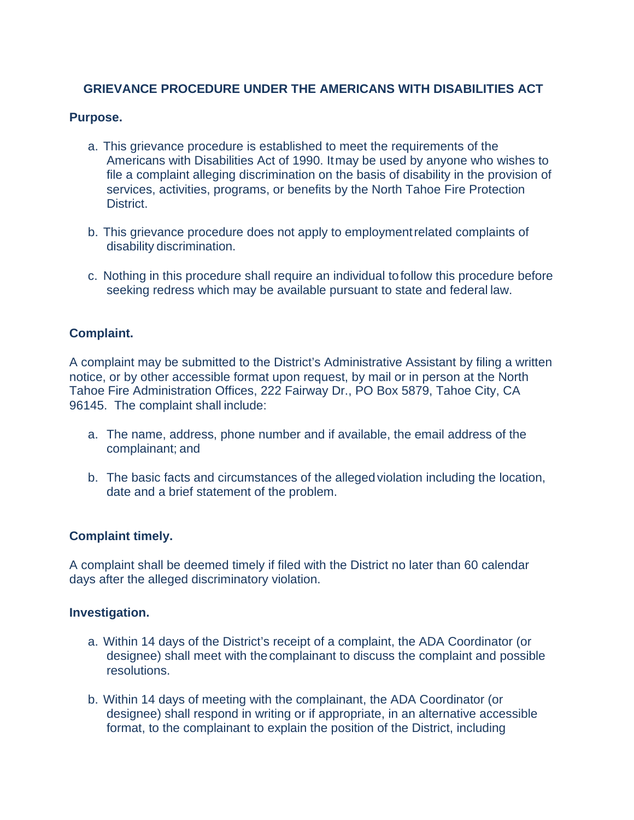# **GRIEVANCE PROCEDURE UNDER THE AMERICANS WITH DISABILITIES ACT**

### **Purpose.**

- a. This grievance procedure is established to meet the requirements of the Americans with Disabilities Act of 1990. Itmay be used by anyone who wishes to file a complaint alleging discrimination on the basis of disability in the provision of services, activities, programs, or benefits by the North Tahoe Fire Protection District.
- b. This grievance procedure does not apply to employmentrelated complaints of disability discrimination.
- c. Nothing in this procedure shall require an individual tofollow this procedure before seeking redress which may be available pursuant to state and federal law.

## **Complaint.**

A complaint may be submitted to the District's Administrative Assistant by filing a written notice, or by other accessible format upon request, by mail or in person at the North Tahoe Fire Administration Offices, 222 Fairway Dr., PO Box 5879, Tahoe City, CA 96145. The complaint shall include:

- a. The name, address, phone number and if available, the email address of the complainant; and
- b. The basic facts and circumstances of the allegedviolation including the location, date and a brief statement of the problem.

## **Complaint timely.**

A complaint shall be deemed timely if filed with the District no later than 60 calendar days after the alleged discriminatory violation.

## **Investigation.**

- a. Within 14 days of the District's receipt of a complaint, the ADA Coordinator (or designee) shall meet with thecomplainant to discuss the complaint and possible resolutions.
- b. Within 14 days of meeting with the complainant, the ADA Coordinator (or designee) shall respond in writing or if appropriate, in an alternative accessible format, to the complainant to explain the position of the District, including